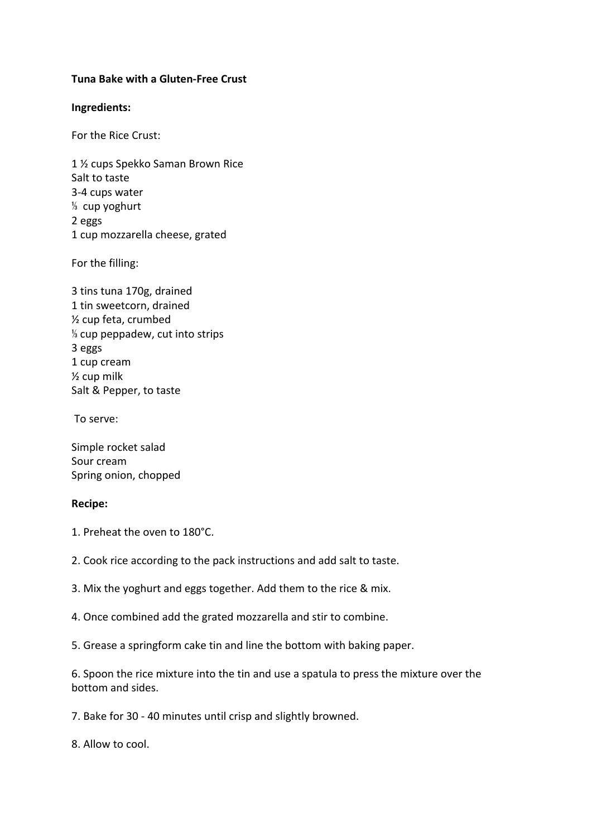## **Tuna Bake with a Gluten-Free Crust**

## **Ingredients:**

For the Rice Crust:

1 ½ cups Spekko Saman Brown Rice Salt to taste 3-4 cups water ⅓ cup yoghurt 2 eggs 1 cup mozzarella cheese, grated

For the filling:

3 tins tuna 170g, drained 1 tin sweetcorn, drained ½ cup feta, crumbed ⅓ cup peppadew, cut into strips 3 eggs 1 cup cream ½ cup milk Salt & Pepper, to taste

To serve:

Simple rocket salad Sour cream Spring onion, chopped

## **Recipe:**

1. Preheat the oven to 180°C.

2. Cook rice according to the pack instructions and add salt to taste.

3. Mix the yoghurt and eggs together. Add them to the rice & mix.

4. Once combined add the grated mozzarella and stir to combine.

5. Grease a springform cake tin and line the bottom with baking paper.

6. Spoon the rice mixture into the tin and use a spatula to press the mixture over the bottom and sides.

7. Bake for 30 - 40 minutes until crisp and slightly browned.

8. Allow to cool.